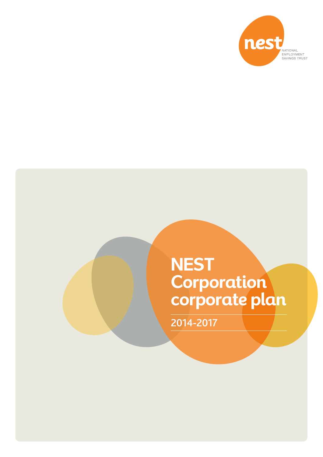

# **NEST Corporation corporate plan**

2014-2017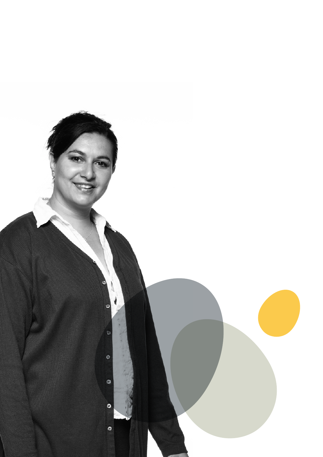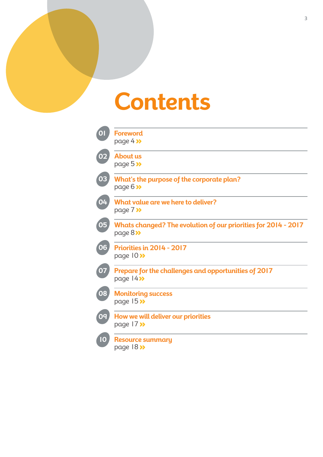# **Contents**

| 0  | <b>Foreword</b><br>page 4>>                                                |
|----|----------------------------------------------------------------------------|
| 02 | <b>About us</b><br>page 5 <sup>&gt;&gt;</sup>                              |
| 03 | What's the purpose of the corporate plan?<br>page $6 \rightarrow$          |
| 04 | What value are we here to deliver?<br>page 7>>                             |
| 05 | Whats changed? The evolution of our priorities for 2014 - 2017<br>page 8>> |
| 06 | Priorities in 2014 - 2017<br>page 10 <sup>&gt;&gt;</sup>                   |
| 07 | Prepare for the challenges and opportunities of 2017<br>page 14>>          |
| 08 | <b>Monitoring success</b><br>page $15$ <sup>&gt;&gt;</sup>                 |
| 09 | How we will deliver our priorities<br>page 17 >>                           |
| 10 | <b>Resource summary</b><br>page 18 <sup>&gt;&gt;</sup>                     |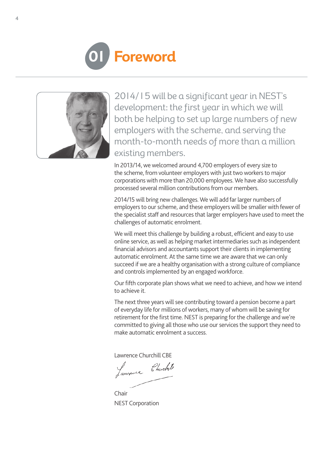



2014/15 will be a significant year in NEST's development: the first year in which we will both be helping to set up large numbers of new employers with the scheme, and serving the month-to-month needs of more than a million existing members.

In 2013/14, we welcomed around 4,700 employers of every size to the scheme, from volunteer employers with just two workers to major corporations with more than 20,000 employees. We have also successfully processed several million contributions from our members.

2014/15 will bring new challenges. We will add far larger numbers of employers to our scheme, and these employers will be smaller with fewer of the specialist staff and resources that larger employers have used to meet the challenges of automatic enrolment.

We will meet this challenge by building a robust, efficient and easy to use online service, as well as helping market intermediaries such as independent financial advisors and accountants support their clients in implementing automatic enrolment. At the same time we are aware that we can only succeed if we are a healthy organisation with a strong culture of compliance and controls implemented by an engaged workforce.

Our fifth corporate plan shows what we need to achieve, and how we intend to achieve it.

The next three years will see contributing toward a pension become a part of everyday life for millions of workers, many of whom will be saving for retirement for the first time. NEST is preparing for the challenge and we're committed to giving all those who use our services the support they need to make automatic enrolment a success.

Lawrence Churchill CBE

Janvenie Churchett

Chair NEST Corporation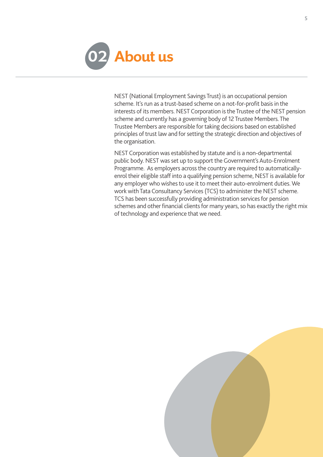

NEST (National Employment Savings Trust) is an occupational pension scheme. It's run as a trust-based scheme on a not-for-profit basis in the interests of its members. NEST Corporation is the Trustee of the NEST pension scheme and currently has a governing body of 12 Trustee Members. The Trustee Members are responsible for taking decisions based on established principles of trust law and for setting the strategic direction and objectives of the organisation.

NEST Corporation was established by statute and is a non-departmental public body. NEST was set up to support the Government's Auto-Enrolment Programme. As employers across the country are required to automaticallyenrol their eligible staff into a qualifying pension scheme, NEST is available for any employer who wishes to use it to meet their auto-enrolment duties. We work with Tata Consultancy Services (TCS) to administer the NEST scheme. TCS has been successfully providing administration services for pension schemes and other financial clients for many years, so has exactly the right mix of technology and experience that we need.

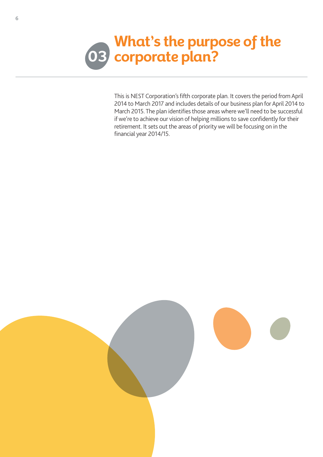# **What's the purpose of the 03 corporate plan?**

This is NEST Corporation's fifth corporate plan. It covers the period from April 2014 to March 2017 and includes details of our business plan for April 2014 to March 2015. The plan identifies those areas where we'll need to be successful if we're to achieve our vision of helping millions to save confidently for their retirement. It sets out the areas of priority we will be focusing on in the financial year 2014/15.

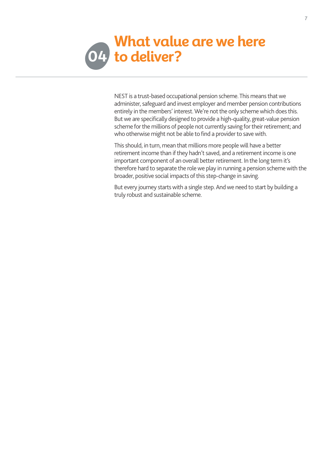# **What value are we here 04 to deliver?**

NEST is a trust-based occupational pension scheme. This means that we administer, safeguard and invest employer and member pension contributions entirely in the members' interest. We're not the only scheme which does this. But we are specifically designed to provide a high-quality, great-value pension scheme for the millions of people not currently saving for their retirement; and who otherwise might not be able to find a provider to save with.

This should, in turn, mean that millions more people will have a better retirement income than if they hadn't saved, and a retirement income is one important component of an overall better retirement. In the long term it's therefore hard to separate the role we play in running a pension scheme with the broader, positive social impacts of this step-change in saving.

But every journey starts with a single step. And we need to start by building a truly robust and sustainable scheme.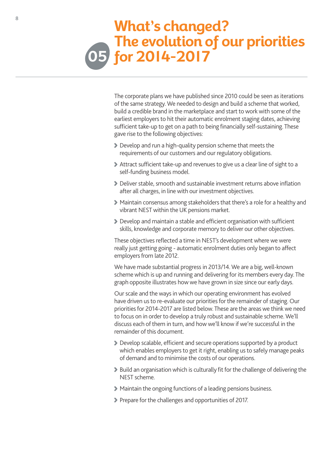## **What's changed? The evolution of our priorities 05 for 2014-2017**

The corporate plans we have published since 2010 could be seen as iterations of the same strategy. We needed to design and build a scheme that worked, build a credible brand in the marketplace and start to work with some of the earliest employers to hit their automatic enrolment staging dates, achieving sufficient take-up to get on a path to being financially self-sustaining. These gave rise to the following objectives:

- Develop and run a high-quality pension scheme that meets the requirements of our customers and our regulatory obligations.
- Attract sufficient take-up and revenues to give us a clear line of sight to a self-funding business model.
- Deliver stable, smooth and sustainable investment returns above inflation after all charges, in line with our investment objectives.
- Maintain consensus among stakeholders that there's a role for a healthy and vibrant NEST within the UK pensions market.
- Develop and maintain a stable and efficient organisation with sufficient skills, knowledge and corporate memory to deliver our other objectives.

These objectives reflected a time in NEST's development where we were really just getting going - automatic enrolment duties only began to affect employers from late 2012.

We have made substantial progress in 2013/14. We are a big, well-known scheme which is up and running and delivering for its members every day. The graph opposite illustrates how we have grown in size since our early days.

Our scale and the ways in which our operating environment has evolved have driven us to re-evaluate our priorities for the remainder of staging. Our priorities for 2014-2017 are listed below. These are the areas we think we need to focus on in order to develop a truly robust and sustainable scheme. We'll discuss each of them in turn, and how we'll know if we're successful in the remainder of this document.

- Develop scalable, efficient and secure operations supported by a product which enables employers to get it right, enabling us to safely manage peaks of demand and to minimise the costs of our operations.
- Build an organisation which is culturally fit for the challenge of delivering the NEST scheme.
- Maintain the ongoing functions of a leading pensions business.
- Prepare for the challenges and opportunities of 2017.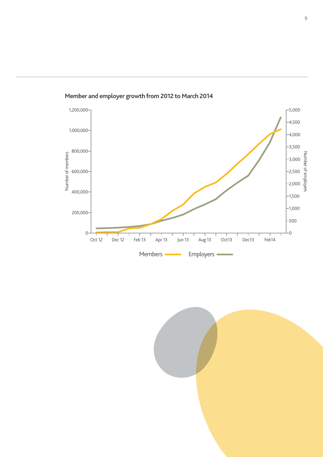

## **Member and employer growth from 2012 to March 2014**

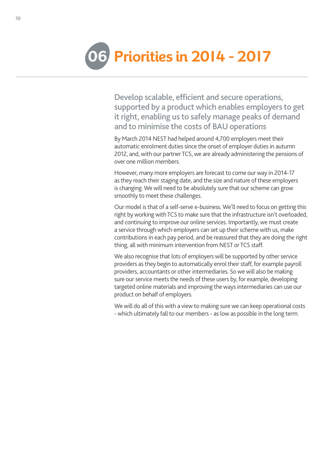# **06 Priorities in 2014 - 2017**

Develop scalable, efficient and secure operations, supported by a product which enables employers to get it right, enabling us to safely manage peaks of demand and to minimise the costs of BAU operations

By March 2014 NEST had helped around 4,700 employers meet their automatic enrolment duties since the onset of employer duties in autumn 2012, and, with our partner TCS, we are already administering the pensions of over one million members.

However, many more employers are forecast to come our way in 2014-17 as they reach their staging date, and the size and nature of these employers is changing. We will need to be absolutely sure that our scheme can grow smoothly to meet these challenges.

Our model is that of a self-serve e-business. We'll need to focus on getting this right by working with TCS to make sure that the infrastructure isn't overloaded, and continuing to improve our online services. Importantly, we must create a service through which employers can set up their scheme with us, make contributions in each pay period, and be reassured that they are doing the right thing, all with minimum intervention from NEST or TCS staff.

We also recognise that lots of employers will be supported by other service providers as they begin to automatically enrol their staff, for example payroll providers, accountants or other intermediaries. So we will also be making sure our service meets the needs of these users by, for example, developing targeted online materials and improving the ways intermediaries can use our product on behalf of employers.

We will do all of this with a view to making sure we can keep operational costs - which ultimately fall to our members - as low as possible in the long term.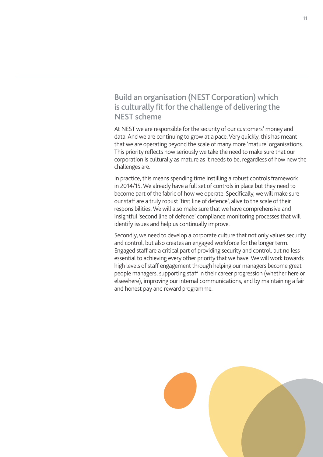## Build an organisation (NEST Corporation) which is culturally fit for the challenge of delivering the NEST scheme

At NEST we are responsible for the security of our customers' money and data. And we are continuing to grow at a pace. Very quickly, this has meant that we are operating beyond the scale of many more 'mature' organisations. This priority reflects how seriously we take the need to make sure that our corporation is culturally as mature as it needs to be, regardless of how new the challenges are.

In practice, this means spending time instilling a robust controls framework in 2014/15. We already have a full set of controls in place but they need to become part of the fabric of how we operate. Specifically, we will make sure our staff are a truly robust 'first line of defence', alive to the scale of their responsibilities. We will also make sure that we have comprehensive and insightful 'second line of defence' compliance monitoring processes that will identify issues and help us continually improve.

Secondly, we need to develop a corporate culture that not only values security and control, but also creates an engaged workforce for the longer term. Engaged staff are a critical part of providing security and control, but no less essential to achieving every other priority that we have. We will work towards high levels of staff engagement through helping our managers become great people managers, supporting staff in their career progression (whether here or elsewhere), improving our internal communications, and by maintaining a fair and honest pay and reward programme.

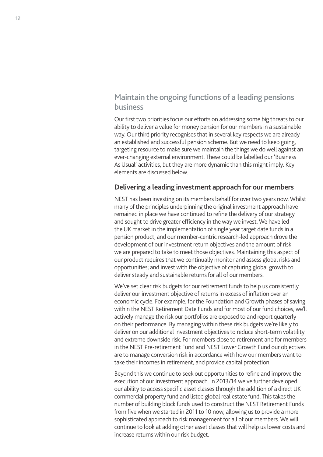### Maintain the ongoing functions of a leading pensions business

Our first two priorities focus our efforts on addressing some big threats to our ability to deliver a value for money pension for our members in a sustainable way. Our third priority recognises that in several key respects we are already an established and successful pension scheme. But we need to keep going, targeting resource to make sure we maintain the things we do well against an ever-changing external environment. These could be labelled our 'Business As Usual' activities, but they are more dynamic than this might imply. Key elements are discussed below.

#### **Delivering a leading investment approach for our members**

NEST has been investing on its members behalf for over two years now. Whilst many of the principles underpinning the original investment approach have remained in place we have continued to refine the delivery of our strategy and sought to drive greater efficiency in the way we invest. We have led the UK market in the implementation of single year target date funds in a pension product, and our member-centric research-led approach drove the development of our investment return objectives and the amount of risk we are prepared to take to meet those objectives. Maintaining this aspect of our product requires that we continually monitor and assess global risks and opportunities; and invest with the objective of capturing global growth to deliver steady and sustainable returns for all of our members.

We've set clear risk budgets for our retirement funds to help us consistently deliver our investment objective of returns in excess of inflation over an economic cycle. For example, for the Foundation and Growth phases of saving within the NEST Retirement Date Funds and for most of our fund choices, we'll actively manage the risk our portfolios are exposed to and report quarterly on their performance. By managing within these risk budgets we're likely to deliver on our additional investment objectives to reduce short-term volatility and extreme downside risk. For members close to retirement and for members in the NEST Pre-retirement Fund and NEST Lower Growth Fund our objectives are to manage conversion risk in accordance with how our members want to take their incomes in retirement, and provide capital protection.

Beyond this we continue to seek out opportunities to refine and improve the execution of our investment approach. In 2013/14 we've further developed our ability to access specific asset classes through the addition of a direct UK commercial property fund and listed global real estate fund. This takes the number of building block funds used to construct the NEST Retirement Funds from five when we started in 2011 to 10 now, allowing us to provide a more sophisticated approach to risk management for all of our members. We will continue to look at adding other asset classes that will help us lower costs and increase returns within our risk budget.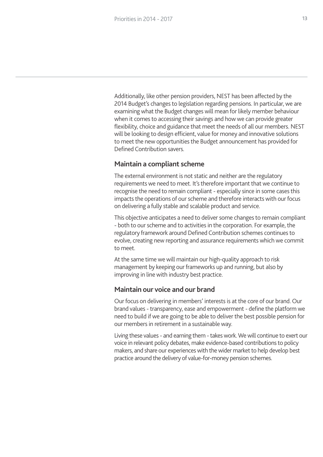Additionally, like other pension providers, NEST has been affected by the 2014 Budget's changes to legislation regarding pensions. In particular, we are examining what the Budget changes will mean for likely member behaviour when it comes to accessing their savings and how we can provide greater flexibility, choice and guidance that meet the needs of all our members. NEST will be looking to design efficient, value for money and innovative solutions to meet the new opportunities the Budget announcement has provided for Defined Contribution savers.

#### **Maintain a compliant scheme**

The external environment is not static and neither are the regulatory requirements we need to meet. It's therefore important that we continue to recognise the need to remain compliant - especially since in some cases this impacts the operations of our scheme and therefore interacts with our focus on delivering a fully stable and scalable product and service.

This objective anticipates a need to deliver some changes to remain compliant - both to our scheme and to activities in the corporation. For example, the regulatory framework around Defined Contribution schemes continues to evolve, creating new reporting and assurance requirements which we commit to meet.

At the same time we will maintain our high-quality approach to risk management by keeping our frameworks up and running, but also by improving in line with industry best practice.

#### **Maintain our voice and our brand**

Our focus on delivering in members' interests is at the core of our brand. Our brand values - transparency, ease and empowerment - define the platform we need to build if we are going to be able to deliver the best possible pension for our members in retirement in a sustainable way.

Living these values - and earning them - takes work. We will continue to exert our voice in relevant policy debates, make evidence-based contributions to policy makers, and share our experiences with the wider market to help develop best practice around the delivery of value-for-money pension schemes.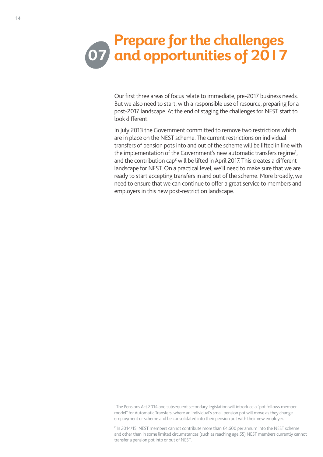## **07 Prepare for the challenges and opportunities of 2017**

Our first three areas of focus relate to immediate, pre-2017 business needs. But we also need to start, with a responsible use of resource, preparing for a post-2017 landscape. At the end of staging the challenges for NEST start to look different.

In July 2013 the Government committed to remove two restrictions which are in place on the NEST scheme. The current restrictions on individual transfers of pension pots into and out of the scheme will be lifted in line with the implementation of the Government's new automatic transfers regime<sup>1</sup>, and the contribution cap<sup>2</sup> will be lifted in April 2017. This creates a different landscape for NEST. On a practical level, we'll need to make sure that we are ready to start accepting transfers in and out of the scheme. More broadly, we need to ensure that we can continue to offer a great service to members and employers in this new post-restriction landscape.

1 The Pensions Act 2014 and subsequent secondary legislation will introduce a "pot follows member model" for Automatic Transfers, where an individual's small pension pot will move as they change employment or scheme and be consolidated into their pension pot with their new employer.

<sup>2</sup> In 2014/15, NEST members cannot contribute more than  $E4,600$  per annum into the NEST scheme and other than in some limited circumstances (such as reaching age 55) NEST members currently cannot transfer a pension pot into or out of NEST.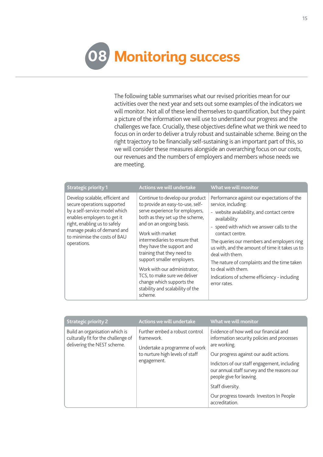# **08 Monitoring success**

The following table summarises what our revised priorities mean for our activities over the next year and sets out some examples of the indicators we will monitor. Not all of these lend themselves to quantification, but they paint a picture of the information we will use to understand our progress and the challenges we face. Crucially, these objectives define what we think we need to focus on in order to deliver a truly robust and sustainable scheme. Being on the right trajectory to be financially self-sustaining is an important part of this, so we will consider these measures alongside an overarching focus on our costs, our revenues and the numbers of employers and members whose needs we are meeting.

| <b>Strategic priority 1</b>                                                                                                                                                                                                                 | Actions we will undertake                                                                                                                                                                                                                                                                                                                                                                                                                                       | What we will monitor                                                                                                                                                                                                                                                                                                                                                                                                                                     |
|---------------------------------------------------------------------------------------------------------------------------------------------------------------------------------------------------------------------------------------------|-----------------------------------------------------------------------------------------------------------------------------------------------------------------------------------------------------------------------------------------------------------------------------------------------------------------------------------------------------------------------------------------------------------------------------------------------------------------|----------------------------------------------------------------------------------------------------------------------------------------------------------------------------------------------------------------------------------------------------------------------------------------------------------------------------------------------------------------------------------------------------------------------------------------------------------|
| Develop scalable, efficient and<br>secure operations supported<br>by a self-service model which<br>enables employers to get it<br>right, enabling us to safely<br>manage peaks of demand and<br>to minimise the costs of BAU<br>operations. | Continue to develop our product<br>to provide an easy-to-use, self-<br>serve experience for employers,<br>both as they set up the scheme,<br>and on an ongoing basis.<br>Work with market<br>intermediaries to ensure that<br>they have the support and<br>training that they need to<br>support smaller employers.<br>Work with our administrator,<br>TCS, to make sure we deliver<br>change which supports the<br>stability and scalability of the<br>scheme. | Performance against our expectations of the<br>service, including:<br>- website availability, and contact centre<br>availability<br>- speed with which we answer calls to the<br>contact centre.<br>The queries our members and employers ring<br>us with, and the amount of time it takes us to<br>deal with them.<br>The nature of complaints and the time taken<br>to deal with them.<br>Indications of scheme efficiency - including<br>error rates. |

| <b>Strategic priority 2</b>                                                                          | Actions we will undertake                                                                                                       | What we will monitor                                                                                                                                                                                                                                                                                                                                          |
|------------------------------------------------------------------------------------------------------|---------------------------------------------------------------------------------------------------------------------------------|---------------------------------------------------------------------------------------------------------------------------------------------------------------------------------------------------------------------------------------------------------------------------------------------------------------------------------------------------------------|
| Build an organisation which is<br>culturally fit for the challenge of<br>delivering the NEST scheme. | Further embed a robust control<br>framework.<br>Undertake a programme of work<br>to nurture high levels of staff<br>engagement. | Evidence of how well our financial and<br>information security policies and processes<br>are working.<br>Our progress against our audit actions.<br>Indictors of our staff engagement, including<br>our annual staff survey and the reasons our<br>people give for leaving.<br>Staff diversity.<br>Our progress towards Investors In People<br>accreditation. |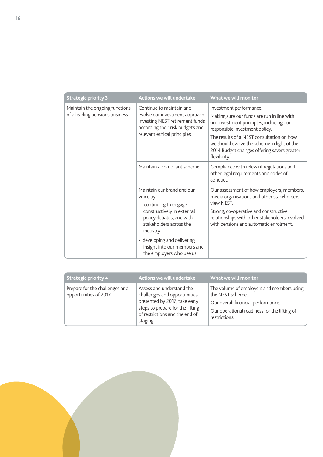| <b>Strategic priority 3</b>                                       | <b>Actions we will undertake</b>                                                                                                                                                                                                                               | What we will monitor                                                                                                                                                                                                                                                                                           |
|-------------------------------------------------------------------|----------------------------------------------------------------------------------------------------------------------------------------------------------------------------------------------------------------------------------------------------------------|----------------------------------------------------------------------------------------------------------------------------------------------------------------------------------------------------------------------------------------------------------------------------------------------------------------|
| Maintain the ongoing functions<br>of a leading pensions business. | Continue to maintain and<br>evolve our investment approach,<br>investing NEST retirement funds<br>according their risk budgets and<br>relevant ethical principles.                                                                                             | Investment performance.<br>Making sure our funds are run in line with<br>our investment principles, including our<br>responsible investment policy.<br>The results of a NEST consultation on how<br>we should evolve the scheme in light of the<br>2014 Budget changes offering savers greater<br>flexibility. |
|                                                                   | Maintain a compliant scheme.                                                                                                                                                                                                                                   | Compliance with relevant regulations and<br>other legal requirements and codes of<br>conduct.                                                                                                                                                                                                                  |
|                                                                   | Maintain our brand and our<br>voice by:<br>- continuing to engage<br>constructively in external<br>policy debates, and with<br>stakeholders across the<br>industry<br>- developing and delivering<br>insight into our members and<br>the employers who use us. | Our assessment of how employers, members,<br>media organisations and other stakeholders<br>view NFST.<br>Strong, co-operative and constructive<br>relationships with other stakeholders involved<br>with pensions and automatic enrolment.                                                                     |

| <b>Strategic priority 4</b>                              | Actions we will undertake                                                                                                                                                    | What we will monitor                                                                                                                                                 |
|----------------------------------------------------------|------------------------------------------------------------------------------------------------------------------------------------------------------------------------------|----------------------------------------------------------------------------------------------------------------------------------------------------------------------|
| Prepare for the challenges and<br>opportunities of 2017. | Assess and understand the<br>challenges and opportunities<br>presented by 2017; take early<br>steps to prepare for the lifting<br>of restrictions and the end of<br>staging. | The volume of employers and members using<br>the NEST scheme.<br>Our overall financial performance.<br>Our operational readiness for the lifting of<br>restrictions. |

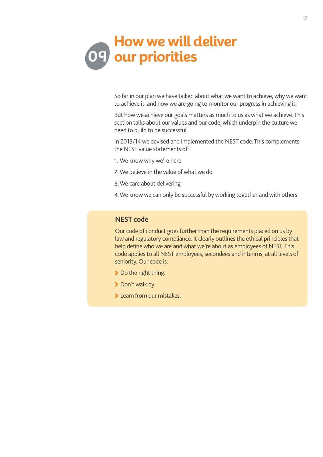## **How we will deliver 09 our priorities**

So far in our plan we have talked about what we want to achieve, why we want to achieve it, and how we are going to monitor our progress in achieving it.

But how we achieve our goals matters as much to us as what we achieve. This section talks about our values and our code, which underpin the culture we need to build to be successful.

In 2013/14 we devised and implemented the NEST code. This complements the NEST value statements of:

- 1. We know why we're here
- 2.We believe in the value of what we do
- 3.We care about delivering
- 4.We know we can only be successful by working together and with others

#### **NEST code**

Our code of conduct goes further than the requirements placed on us by law and regulatory compliance. It clearly outlines the ethical principles that help define who we are and what we're about as employees of NEST. This code applies to all NEST employees, secondees and interims, at all levels of seniority. Our code is:

- > Do the right thing.
- Don't walk by.
- **Learn from our mistakes**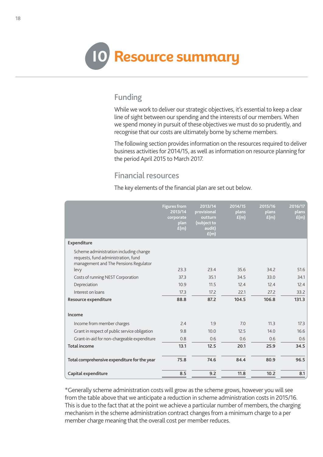### Funding

While we work to deliver our strategic objectives, it's essential to keep a clear line of sight between our spending and the interests of our members. When we spend money in pursuit of these objectives we must do so prudently, and recognise that our costs are ultimately borne by scheme members.

The following section provides information on the resources required to deliver business activities for 2014/15, as well as information on resource planning for the period April 2015 to March 2017.

### Financial resources

The key elements of the financial plan are set out below.

|                                                                                                                        | <b>Figures from</b><br>2013/14<br>corporate<br>plan<br>E(m) | 2013/14<br>provisional<br>outturn<br>(subject to<br>audit)<br>E(m) | 2014/15<br>plans<br>E(m) | 2015/16<br>plans<br>E(m) | 2016/17<br>plans<br>E(m) |
|------------------------------------------------------------------------------------------------------------------------|-------------------------------------------------------------|--------------------------------------------------------------------|--------------------------|--------------------------|--------------------------|
| Expenditure                                                                                                            |                                                             |                                                                    |                          |                          |                          |
| Scheme administration including change<br>requests, fund administration, fund<br>management and The Pensions Regulator | 23.3                                                        | 23.4                                                               | 35.6                     | 34.2                     | 51.6                     |
| levy                                                                                                                   |                                                             |                                                                    |                          |                          |                          |
| Costs of running NEST Corporation                                                                                      | 37.3                                                        | 35.1                                                               | 34.5                     | 33.0                     | 34.1                     |
| Depreciation                                                                                                           | 10.9                                                        | 11.5                                                               | 12.4                     | 12.4                     | 12.4                     |
| Interest on loans                                                                                                      | 17.3                                                        | 17.2                                                               | 22.1                     | 27.2                     | 33.2                     |
| Resource expenditure                                                                                                   | 88.8                                                        | 87.2                                                               | 104.5                    | 106.8                    | 131.3                    |
| Income                                                                                                                 |                                                             |                                                                    |                          |                          |                          |
| Income from member charges                                                                                             | 2.4                                                         | 1.9                                                                | 7.0                      | 11.3                     | 17.3                     |
| Grant in respect of public service obligation                                                                          | 9.8                                                         | 10.0                                                               | 12.5                     | 14.0                     | 16.6                     |
| Grant-in-aid for non-chargeable expenditure                                                                            | 0.8                                                         | 0.6                                                                | 0.6                      | 0.6                      | 0.6                      |
| <b>Total income</b>                                                                                                    | 13.1                                                        | 12.5                                                               | 20.1                     | 25.9                     | 34.5                     |
| Total comprehensive expenditure for the year                                                                           | 75.8                                                        | 74.6                                                               | 84.4                     | 80.9                     | 96.5                     |
| Capital expenditure                                                                                                    | 8.5                                                         | 9.2                                                                | 11.8                     | 10.2                     | 8.1                      |

\*Generally scheme administration costs will grow as the scheme grows, however you will see from the table above that we anticipate a reduction in scheme administration costs in 2015/16. This is due to the fact that at the point we achieve a particular number of members, the charging mechanism in the scheme administration contract changes from a minimum charge to a per member charge meaning that the overall cost per member reduces.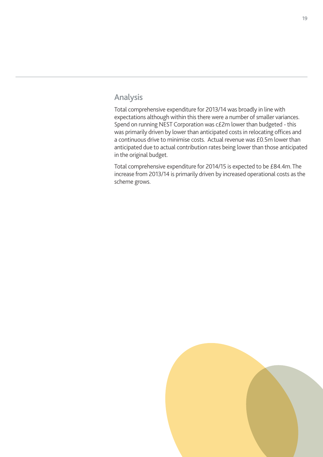#### Analysis

Total comprehensive expenditure for 2013/14 was broadly in line with expectations although within this there were a number of smaller variances. Spend on running NEST Corporation was c£2m lower than budgeted - this was primarily driven by lower than anticipated costs in relocating offices and a continuous drive to minimise costs. Actual revenue was £0.5m lower than anticipated due to actual contribution rates being lower than those anticipated in the original budget.

Total comprehensive expenditure for 2014/15 is expected to be £84.4m. The increase from 2013/14 is primarily driven by increased operational costs as the scheme grows.